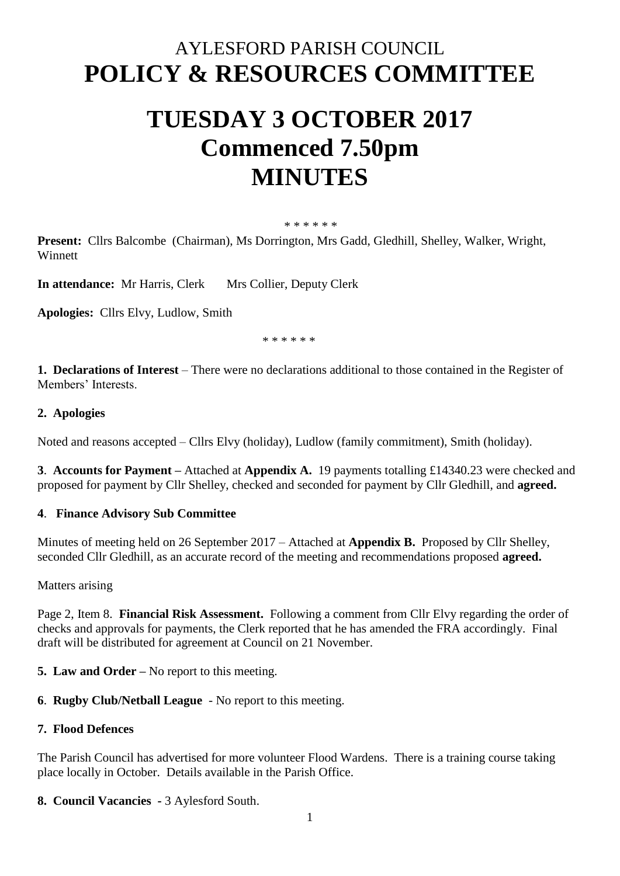# AYLESFORD PARISH COUNCIL **POLICY & RESOURCES COMMITTEE**

# **TUESDAY 3 OCTOBER 2017 Commenced 7.50pm MINUTES**

#### \* \* \* \* \* \*

**Present:** Cllrs Balcombe (Chairman), Ms Dorrington, Mrs Gadd, Gledhill, Shelley, Walker, Wright, **Winnett** 

**In attendance:** Mr Harris, Clerk Mrs Collier, Deputy Clerk

**Apologies:** Cllrs Elvy, Ludlow, Smith

\* \* \* \* \* \*

**1. Declarations of Interest** – There were no declarations additional to those contained in the Register of Members' Interests.

### **2. Apologies**

Noted and reasons accepted – Cllrs Elvy (holiday), Ludlow (family commitment), Smith (holiday).

**3**. **Accounts for Payment –** Attached at **Appendix A.** 19 payments totalling £14340.23 were checked and proposed for payment by Cllr Shelley, checked and seconded for payment by Cllr Gledhill, and **agreed.** 

#### **4**. **Finance Advisory Sub Committee**

Minutes of meeting held on 26 September 2017 – Attached at **Appendix B.** Proposed by Cllr Shelley, seconded Cllr Gledhill, as an accurate record of the meeting and recommendations proposed **agreed.**

Matters arising

Page 2, Item 8. **Financial Risk Assessment.** Following a comment from Cllr Elvy regarding the order of checks and approvals for payments, the Clerk reported that he has amended the FRA accordingly. Final draft will be distributed for agreement at Council on 21 November.

**5. Law and Order –** No report to this meeting.

**6**. **Rugby Club/Netball League** - No report to this meeting.

#### **7. Flood Defences**

The Parish Council has advertised for more volunteer Flood Wardens. There is a training course taking place locally in October. Details available in the Parish Office.

**8. Council Vacancies -** 3 Aylesford South.